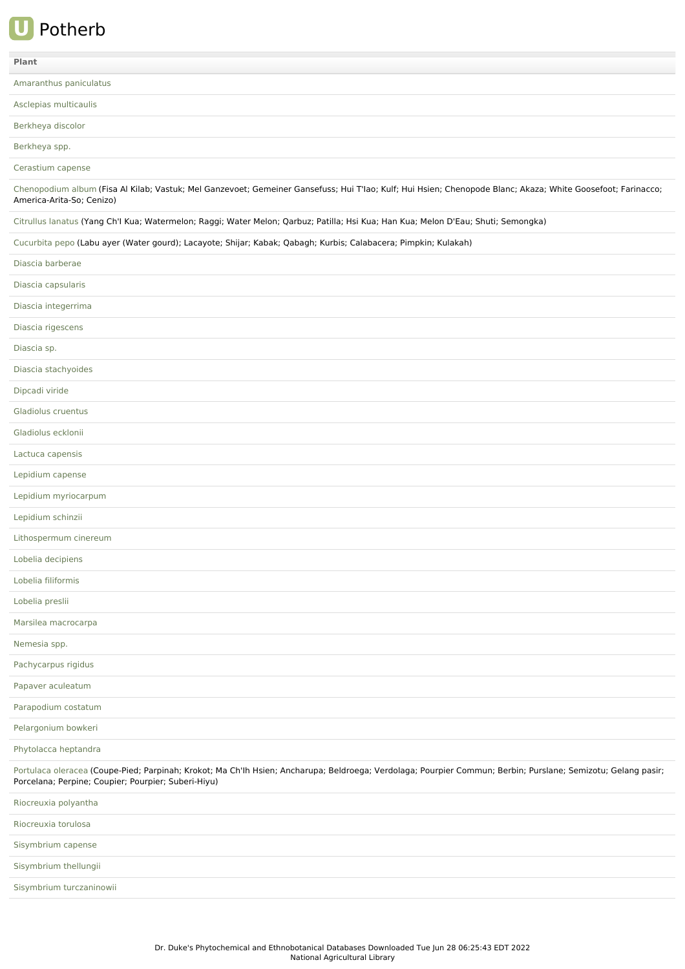## **U** Potherb

| Plant                                                                                                                                                                                                                |
|----------------------------------------------------------------------------------------------------------------------------------------------------------------------------------------------------------------------|
| Amaranthus paniculatus                                                                                                                                                                                               |
| Asclepias multicaulis                                                                                                                                                                                                |
| Berkheya discolor                                                                                                                                                                                                    |
| Berkheya spp.                                                                                                                                                                                                        |
| Cerastium capense                                                                                                                                                                                                    |
| Chenopodium album (Fisa Al Kilab; Vastuk; Mel Ganzevoet; Gemeiner Gansefuss; Hui T'lao; Kulf; Hui Hsien; Chenopode Blanc; Akaza; White Goosefoot; Farinacco;<br>America-Arita-So; Cenizo)                            |
| Citrullus lanatus (Yang Ch'l Kua; Watermelon; Raggi; Water Melon; Qarbuz; Patilla; Hsi Kua; Han Kua; Melon D'Eau; Shuti; Semongka)                                                                                   |
| Cucurbita pepo (Labu ayer (Water gourd); Lacayote; Shijar; Kabak; Qabagh; Kurbis; Calabacera; Pimpkin; Kulakah)                                                                                                      |
| Diascia barberae                                                                                                                                                                                                     |
| Diascia capsularis                                                                                                                                                                                                   |
| Diascia integerrima                                                                                                                                                                                                  |
| Diascia rigescens                                                                                                                                                                                                    |
| Diascia sp.                                                                                                                                                                                                          |
| Diascia stachyoides                                                                                                                                                                                                  |
| Dipcadi viride                                                                                                                                                                                                       |
| Gladiolus cruentus                                                                                                                                                                                                   |
| Gladiolus ecklonii                                                                                                                                                                                                   |
| Lactuca capensis                                                                                                                                                                                                     |
| Lepidium capense                                                                                                                                                                                                     |
| Lepidium myriocarpum                                                                                                                                                                                                 |
| Lepidium schinzii                                                                                                                                                                                                    |
| Lithospermum cinereum                                                                                                                                                                                                |
| Lobelia decipiens                                                                                                                                                                                                    |
| Lobelia filiformis                                                                                                                                                                                                   |
| Lobelia preslii                                                                                                                                                                                                      |
| Marsilea macrocarpa                                                                                                                                                                                                  |
| Nemesia spp.                                                                                                                                                                                                         |
| Pachycarpus rigidus                                                                                                                                                                                                  |
| Papaver aculeatum                                                                                                                                                                                                    |
| Parapodium costatum                                                                                                                                                                                                  |
| Pelargonium bowkeri                                                                                                                                                                                                  |
| Phytolacca heptandra                                                                                                                                                                                                 |
| Portulaca oleracea (Coupe-Pied; Parpinah; Krokot; Ma Ch'lh Hsien; Ancharupa; Beldroega; Verdolaga; Pourpier Commun; Berbin; Purslane; Semizotu; Gelang pasir;<br>Porcelana; Perpine; Coupier; Pourpier; Suberi-Hiyu) |
| Riocreuxia polyantha                                                                                                                                                                                                 |
| Riocreuxia torulosa                                                                                                                                                                                                  |
| Sisymbrium capense                                                                                                                                                                                                   |
| Sisymbrium thellungii                                                                                                                                                                                                |

Sisymbrium [turczaninowii](file:///phytochem/ethnoPlants/show/9185)